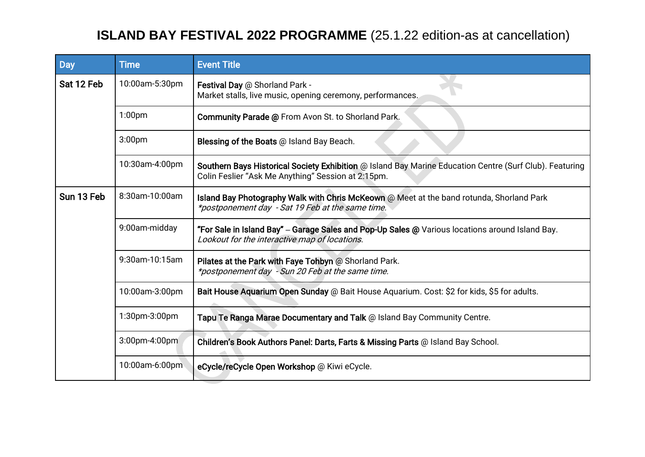## **ISLAND BAY FESTIVAL 2022 PROGRAMME** (25.1.22 edition-as at cancellation)

| <b>Day</b> | <b>Time</b>        | <b>Event Title</b>                                                                                                                                            |
|------------|--------------------|---------------------------------------------------------------------------------------------------------------------------------------------------------------|
| Sat 12 Feb | 10:00am-5:30pm     | Festival Day @ Shorland Park -<br>Market stalls, live music, opening ceremony, performances.                                                                  |
|            | 1:00 <sub>pm</sub> | Community Parade @ From Avon St. to Shorland Park.                                                                                                            |
|            | 3:00 <sub>pm</sub> | Blessing of the Boats @ Island Bay Beach.                                                                                                                     |
|            | 10:30am-4:00pm     | Southern Bays Historical Society Exhibition @ Island Bay Marine Education Centre (Surf Club). Featuring<br>Colin Feslier "Ask Me Anything" Session at 2:15pm. |
| Sun 13 Feb | 8:30am-10:00am     | Island Bay Photography Walk with Chris McKeown @ Meet at the band rotunda, Shorland Park<br>*postponement day - Sat 19 Feb at the same time.                  |
|            | 9:00am-midday      | "For Sale in Island Bay" - Garage Sales and Pop-Up Sales @ Various locations around Island Bay.<br>Lookout for the interactive map of locations.              |
|            | 9:30am-10:15am     | Pilates at the Park with Faye Tohbyn @ Shorland Park.<br>*postponement day - Sun 20 Feb at the same time.                                                     |
|            | 10:00am-3:00pm     | Bait House Aquarium Open Sunday @ Bait House Aquarium. Cost: \$2 for kids, \$5 for adults.                                                                    |
|            | 1:30pm-3:00pm      | Tapu Te Ranga Marae Documentary and Talk @ Island Bay Community Centre.                                                                                       |
|            | 3:00pm-4:00pm      | Children's Book Authors Panel: Darts, Farts & Missing Parts @ Island Bay School.                                                                              |
|            | 10:00am-6:00pm     | eCycle/reCycle Open Workshop @ Kiwi eCycle.                                                                                                                   |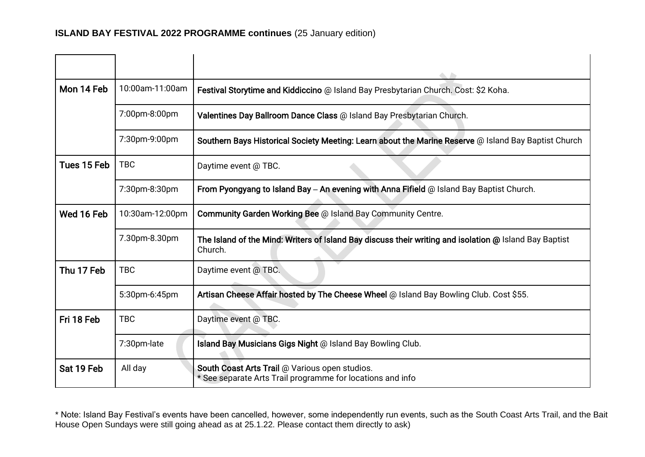| Mon 14 Feb  | 10:00am-11:00am | Festival Storytime and Kiddiccino @ Island Bay Presbytarian Church. Cost: \$2 Koha.                               |
|-------------|-----------------|-------------------------------------------------------------------------------------------------------------------|
|             | 7:00pm-8:00pm   | Valentines Day Ballroom Dance Class @ Island Bay Presbytarian Church.                                             |
|             | 7:30pm-9:00pm   | Southern Bays Historical Society Meeting: Learn about the Marine Reserve @ Island Bay Baptist Church              |
| Tues 15 Feb | <b>TBC</b>      | Daytime event @ TBC.                                                                                              |
|             | 7:30pm-8:30pm   | From Pyongyang to Island Bay - An evening with Anna Fifield $@$ Island Bay Baptist Church.                        |
| Wed 16 Feb  | 10:30am-12:00pm | Community Garden Working Bee @ Island Bay Community Centre.                                                       |
|             | 7.30pm-8.30pm   | The Island of the Mind: Writers of Island Bay discuss their writing and isolation @ Island Bay Baptist<br>Church. |
| Thu 17 Feb  | <b>TBC</b>      | Daytime event @ TBC.                                                                                              |
|             | 5:30pm-6:45pm   | Artisan Cheese Affair hosted by The Cheese Wheel @ Island Bay Bowling Club. Cost \$55.                            |
| Fri 18 Feb  | <b>TBC</b>      | Daytime event @ TBC.                                                                                              |
|             | 7:30pm-late     | Island Bay Musicians Gigs Night @ Island Bay Bowling Club.                                                        |
| Sat 19 Feb  | All day         | South Coast Arts Trail @ Various open studios.<br>* See separate Arts Trail programme for locations and info      |

\* Note: Island Bay Festival's events have been cancelled, however, some independently run events, such as the South Coast Arts Trail, and the Bait House Open Sundays were still going ahead as at 25.1.22. Please contact them directly to ask)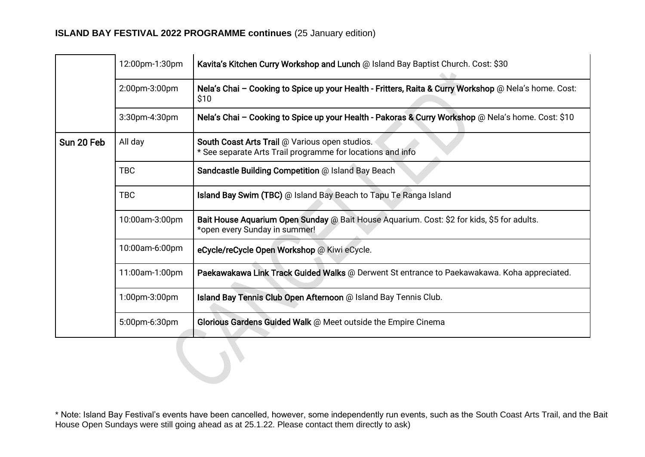## **ISLAND BAY FESTIVAL 2022 PROGRAMME continues** (25 January edition)

|            | 12:00pm-1:30pm | Kavita's Kitchen Curry Workshop and Lunch @ Island Bay Baptist Church. Cost: \$30                                           |
|------------|----------------|-----------------------------------------------------------------------------------------------------------------------------|
|            | 2:00pm-3:00pm  | Nela's Chai - Cooking to Spice up your Health - Fritters, Raita & Curry Workshop @ Nela's home. Cost:<br>\$10               |
|            | 3:30pm-4:30pm  | Nela's Chai - Cooking to Spice up your Health - Pakoras & Curry Workshop @ Nela's home. Cost: \$10                          |
| Sun 20 Feb | All day        | South Coast Arts Trail @ Various open studios.<br>* See separate Arts Trail programme for locations and info                |
|            | <b>TBC</b>     | Sandcastle Building Competition @ Island Bay Beach                                                                          |
|            | <b>TBC</b>     | Island Bay Swim (TBC) @ Island Bay Beach to Tapu Te Ranga Island                                                            |
|            | 10:00am-3:00pm | Bait House Aquarium Open Sunday @ Bait House Aquarium. Cost: \$2 for kids, \$5 for adults.<br>*open every Sunday in summer! |
|            | 10:00am-6:00pm | eCycle/reCycle Open Workshop @ Kiwi eCycle.                                                                                 |
|            | 11:00am-1:00pm | Paekawakawa Link Track Guided Walks @ Derwent St entrance to Paekawakawa. Koha appreciated.                                 |
|            | 1:00pm-3:00pm  | Island Bay Tennis Club Open Afternoon @ Island Bay Tennis Club.                                                             |
|            | 5:00pm-6:30pm  | Glorious Gardens Guided Walk @ Meet outside the Empire Cinema                                                               |
|            |                |                                                                                                                             |

\* Note: Island Bay Festival's events have been cancelled, however, some independently run events, such as the South Coast Arts Trail, and the Bait House Open Sundays were still going ahead as at 25.1.22. Please contact them directly to ask)